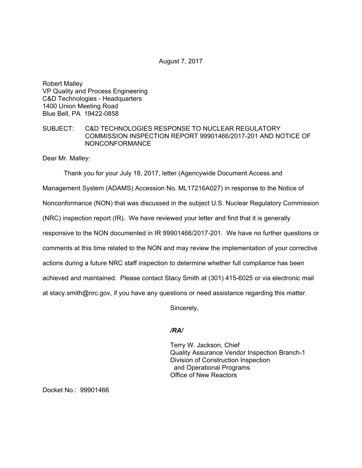August 7, 2017

Robert Malley VP Quality and Process Engineering C&D Technologies - Headquarters 1400 Union Meeting Road Blue Bell, PA 19422-0858

## SUBJECT: C&D TECHNOLOGIES RESPONSE TO NUCLEAR REGULATORY COMMISSION INSPECTION REPORT 99901466/2017-201 AND NOTICE OF NONCONFORMANCE

Dear Mr. Malley:

Thank you for your July 18, 2017, letter (Agencywide Document Access and Management System (ADAMS) Accession No. ML17216A027) in response to the Notice of Nonconformance (NON) that was discussed in the subject U.S. Nuclear Regulatory Commission (NRC) inspection report (IR). We have reviewed your letter and find that it is generally responsive to the NON documented in IR 99901466/2017-201. We have no further questions or comments at this time related to the NON and may review the implementation of your corrective actions during a future NRC staff inspection to determine whether full compliance has been achieved and maintained. Please contact Stacy Smith at (301) 415-6025 or via electronic mail at stacy.smith@nrc.gov, if you have any questions or need assistance regarding this matter.

Sincerely,

## */RA/*

Terry W. Jackson, Chief Quality Assurance Vendor Inspection Branch-1 Division of Construction Inspection and Operational Programs Office of New Reactors

Docket No.: 99901466